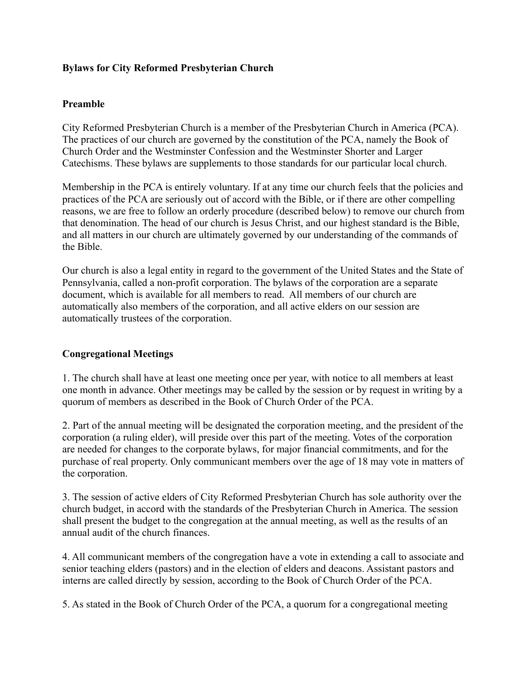# **Bylaws for City Reformed Presbyterian Church**

## **Preamble**

City Reformed Presbyterian Church is a member of the Presbyterian Church in America (PCA). The practices of our church are governed by the constitution of the PCA, namely the Book of Church Order and the Westminster Confession and the Westminster Shorter and Larger Catechisms. These bylaws are supplements to those standards for our particular local church.

Membership in the PCA is entirely voluntary. If at any time our church feels that the policies and practices of the PCA are seriously out of accord with the Bible, or if there are other compelling reasons, we are free to follow an orderly procedure (described below) to remove our church from that denomination. The head of our church is Jesus Christ, and our highest standard is the Bible, and all matters in our church are ultimately governed by our understanding of the commands of the Bible.

Our church is also a legal entity in regard to the government of the United States and the State of Pennsylvania, called a non-profit corporation. The bylaws of the corporation are a separate document, which is available for all members to read. All members of our church are automatically also members of the corporation, and all active elders on our session are automatically trustees of the corporation.

### **Congregational Meetings**

1. The church shall have at least one meeting once per year, with notice to all members at least one month in advance. Other meetings may be called by the session or by request in writing by a quorum of members as described in the Book of Church Order of the PCA.

2. Part of the annual meeting will be designated the corporation meeting, and the president of the corporation (a ruling elder), will preside over this part of the meeting. Votes of the corporation are needed for changes to the corporate bylaws, for major financial commitments, and for the purchase of real property. Only communicant members over the age of 18 may vote in matters of the corporation.

3. The session of active elders of City Reformed Presbyterian Church has sole authority over the church budget, in accord with the standards of the Presbyterian Church in America. The session shall present the budget to the congregation at the annual meeting, as well as the results of an annual audit of the church finances.

4. All communicant members of the congregation have a vote in extending a call to associate and senior teaching elders (pastors) and in the election of elders and deacons. Assistant pastors and interns are called directly by session, according to the Book of Church Order of the PCA.

5. As stated in the Book of Church Order of the PCA, a quorum for a congregational meeting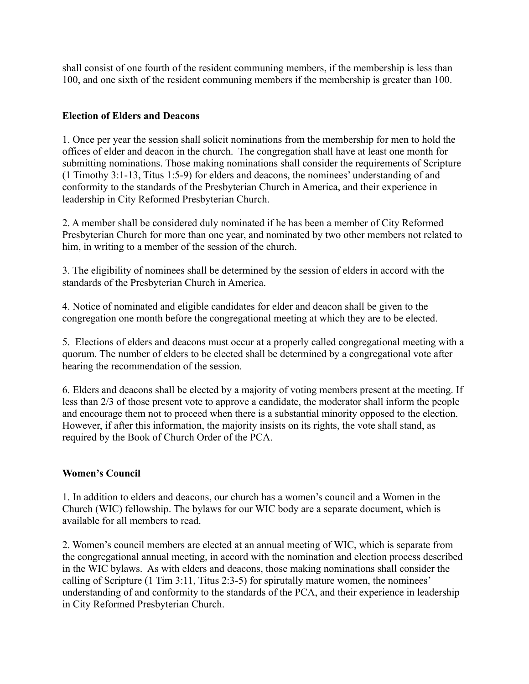shall consist of one fourth of the resident communing members, if the membership is less than 100, and one sixth of the resident communing members if the membership is greater than 100.

# **Election of Elders and Deacons**

1. Once per year the session shall solicit nominations from the membership for men to hold the offices of elder and deacon in the church. The congregation shall have at least one month for submitting nominations. Those making nominations shall consider the requirements of Scripture (1 Timothy 3:1-13, Titus 1:5-9) for elders and deacons, the nominees' understanding of and conformity to the standards of the Presbyterian Church in America, and their experience in leadership in City Reformed Presbyterian Church.

2. A member shall be considered duly nominated if he has been a member of City Reformed Presbyterian Church for more than one year, and nominated by two other members not related to him, in writing to a member of the session of the church.

3. The eligibility of nominees shall be determined by the session of elders in accord with the standards of the Presbyterian Church in America.

4. Notice of nominated and eligible candidates for elder and deacon shall be given to the congregation one month before the congregational meeting at which they are to be elected.

5. Elections of elders and deacons must occur at a properly called congregational meeting with a quorum. The number of elders to be elected shall be determined by a congregational vote after hearing the recommendation of the session.

6. Elders and deacons shall be elected by a majority of voting members present at the meeting. If less than 2/3 of those present vote to approve a candidate, the moderator shall inform the people and encourage them not to proceed when there is a substantial minority opposed to the election. However, if after this information, the majority insists on its rights, the vote shall stand, as required by the Book of Church Order of the PCA.

# **Women's Council**

1. In addition to elders and deacons, our church has a women's council and a Women in the Church (WIC) fellowship. The bylaws for our WIC body are a separate document, which is available for all members to read.

2. Women's council members are elected at an annual meeting of WIC, which is separate from the congregational annual meeting, in accord with the nomination and election process described in the WIC bylaws. As with elders and deacons, those making nominations shall consider the calling of Scripture (1 Tim 3:11, Titus 2:3-5) for spirutally mature women, the nominees' understanding of and conformity to the standards of the PCA, and their experience in leadership in City Reformed Presbyterian Church.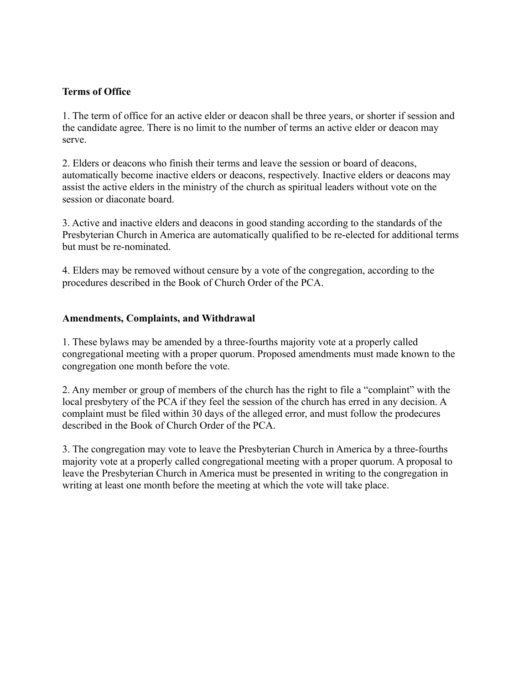# **Terms of Office**

1. The term of office for an active elder or deacon shall be three years, or shorter if session and the candidate agree. There is no limit to the number of terms an active elder or deacon may serve.

2. Elders or deacons who finish their terms and leave the session or board of deacons, automatically become inactive elders or deacons, respectively. Inactive elders or deacons may assist the active elders in the ministry of the church as spiritual leaders without vote on the session or diaconate board.

3. Active and inactive elders and deacons in good standing according to the standards of the Presbyterian Church in America are automatically qualified to be re-elected for additional terms but must be re-nominated.

4. Elders may be removed without censure by a vote of the congregation, according to the procedures described in the Book of Church Order of the PCA.

### **Amendments, Complaints, and Withdrawal**

1. These bylaws may be amended by a three-fourths majority vote at a properly called congregational meeting with a proper quorum. Proposed amendments must made known to the congregation one month before the vote.

2. Any member or group of members of the church has the right to file a "complaint" with the local presbytery of the PCA if they feel the session of the church has erred in any decision. A complaint must be filed within 30 days of the alleged error, and must follow the prodecures described in the Book of Church Order of the PCA.

3. The congregation may vote to leave the Presbyterian Church in America by a three-fourths majority vote at a properly called congregational meeting with a proper quorum. A proposal to leave the Presbyterian Church in America must be presented in writing to the congregation in writing at least one month before the meeting at which the vote will take place.